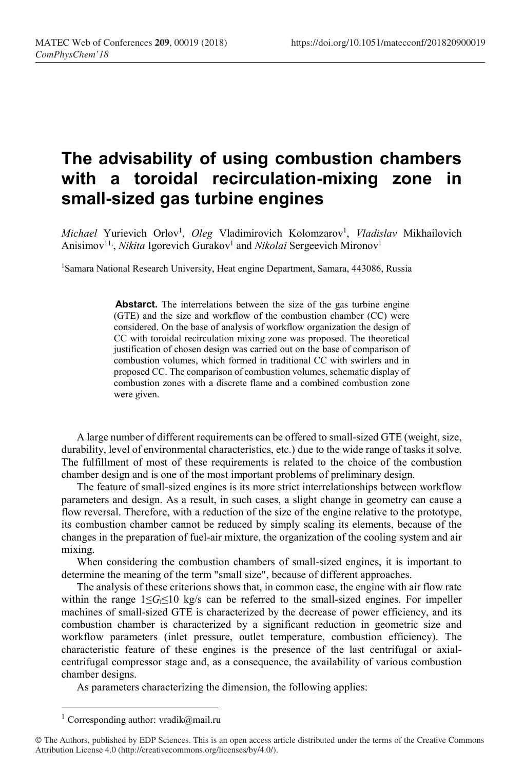## The advisability of using combustion chambers with a toroidal recirculation-mixing zone in small-sized gas turbine engines

Michael Yurievich Orlov<sup>1</sup>, Oleg Vladimirovich Kolomzarov<sup>1</sup>, Vladislav Mikhailovich Anisimov<sup>11</sup>, *Nikita* Igorevich Gurakov<sup>1</sup> and *Nikolai* Sergeevich Mironov<sup>1</sup>

<sup>1</sup>Samara National Research University, Heat engine Department, Samara, 443086, Russia

Abstarct. The interrelations between the size of the gas turbine engine (GTE) and the size and workflow of the combustion chamber (CC) were considered. On the base of analysis of workflow organization the design of CC with toroidal recirculation mixing zone was proposed. The theoretical justification of chosen design was carried out on the base of comparison of combustion volumes, which formed in traditional CC with swirlers and in proposed CC. The comparison of combustion volumes, schematic display of combustion zones with a discrete flame and a combined combustion zone were given.

A large number of different requirements can be offered to small-sized GTE (weight, size, durability, level of environmental characteristics, etc.) due to the wide range of tasks it solve. The fulfillment of most of these requirements is related to the choice of the combustion chamber design and is one of the most important problems of preliminary design.

The feature of small-sized engines is its more strict interrelationships between workflow parameters and design. As a result, in such cases, a slight change in geometry can cause a flow reversal. Therefore, with a reduction of the size of the engine relative to the prototype, its combustion chamber cannot be reduced by simply scaling its elements, because of the changes in the preparation of fuel-air mixture, the organization of the cooling system and air mixing.

When considering the combustion chambers of small-sized engines, it is important to determine the meaning of the term "small size", because of different approaches.

The analysis of these criterions shows that, in common case, the engine with air flow rate within the range  $1 \leq G \leq 10$  kg/s can be referred to the small-sized engines. For impeller machines of small-sized GTE is characterized by the decrease of power efficiency, and its combustion chamber is characterized by a significant reduction in geometric size and workflow parameters (inlet pressure, outlet temperature, combustion efficiency). The characteristic feature of these engines is the presence of the last centrifugal or axialcentrifugal compressor stage and, as a consequence, the availability of various combustion chamber designs.

As parameters characterizing the dimension, the following applies:

-

<sup>&</sup>lt;sup>1</sup> Corresponding author: vradik@mail.ru

<sup>©</sup> The Authors, published by EDP Sciences. This is an open access article distributed under the terms of the Creative Commons Attribution License 4.0 (http://creativecommons.org/licenses/by/4.0/).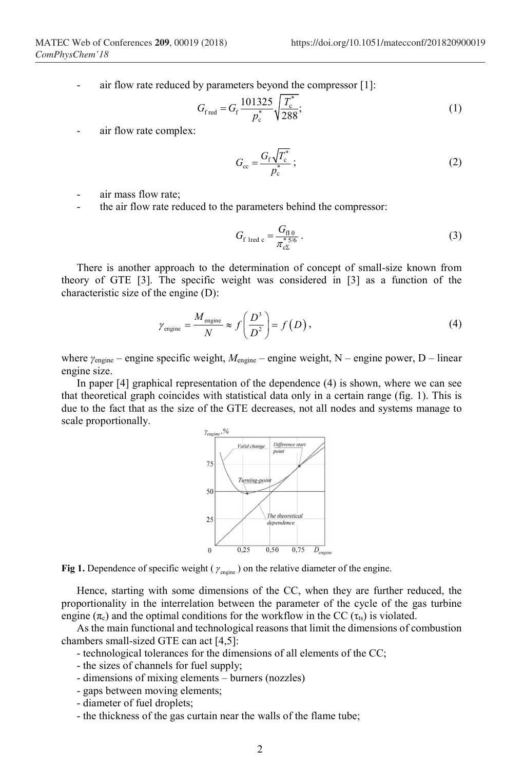air flow rate reduced by parameters beyond the compressor [1]:

$$
G_{\text{fred}} = G_{\text{f}} \frac{101325}{p_{\text{c}}^*} \sqrt{\frac{T_{\text{c}}^*}{288}}; \tag{1}
$$

air flow rate complex:

$$
G_{\rm cc} = \frac{G_{\rm f} \sqrt{T_{\rm c}^*}}{p_{\rm c}^*} \, ; \tag{2}
$$

- air mass flow rate;
- the air flow rate reduced to the parameters behind the compressor:

$$
G_{\text{f}\text{Ired c}} = \frac{G_{\text{f10}}}{\pi_{\text{c2}}^{*5/6}} \,. \tag{3}
$$

There is another approach to the determination of concept of small-size known from theory of GTE [3]. The specific weight was considered in [3] as a function of the characteristic size of the engine (D): https://doi.org/10.1051/matecconf/201820900019<br>
the compressor [1]:<br>  $\frac{1}{s^2}$ ; (1)<br>  $\frac{1}{s^3}$ ; (2)<br>
oehind the compressor:<br>
(3)<br>
of concept of small-size known from<br>
nsidered in [3] as a function of the<br>
(D), (4)<br>
ee

$$
\gamma_{\text{engine}} = \frac{M_{\text{engine}}}{N} \approx f\left(\frac{D^3}{D^2}\right) = f(D),\tag{4}
$$

where  $\gamma_{\text{engine}}$  – engine specific weight,  $M_{\text{engine}}$  – engine weight, N – engine power, D – linear engine size.

In paper [4] graphical representation of the dependence (4) is shown, where we can see that theoretical graph coincides with statistical data only in a certain range (fig. 1). This is due to the fact that as the size of the GTE decreases, not all nodes and systems manage to scale proportionally.



Fig 1. Dependence of specific weight ( $\gamma_{\text{envine}}$ ) on the relative diameter of the engine.

Hence, starting with some dimensions of the CC, when they are further reduced, the proportionality in the interrelation between the parameter of the cycle of the gas turbine engine  $(\pi_c)$  and the optimal conditions for the workflow in the CC  $(\tau_{ts})$  is violated.

As the main functional and technological reasons that limit the dimensions of combustion chambers small-sized GTE can act [4,5]:

- technological tolerances for the dimensions of all elements of the CC;
- the sizes of channels for fuel supply;
- dimensions of mixing elements burners (nozzles)
- gaps between moving elements;
- diameter of fuel droplets;
- the thickness of the gas curtain near the walls of the flame tube;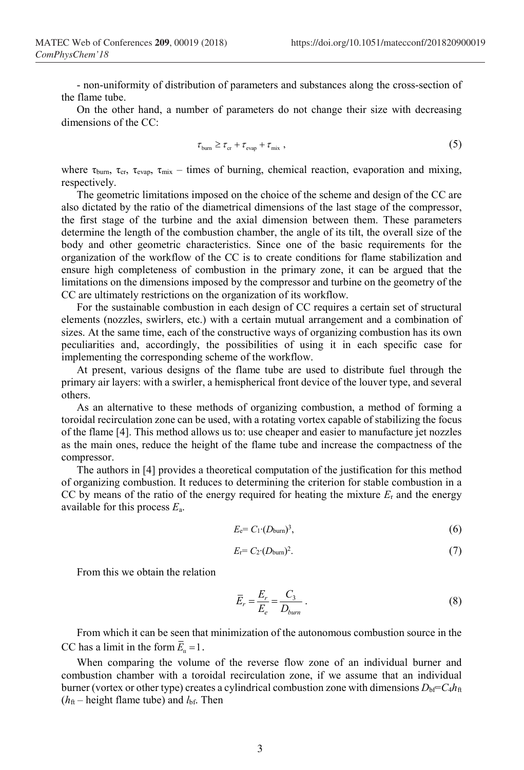- non-uniformity of distribution of parameters and substances along the cross-section of the flame tube.

On the other hand, a number of parameters do not change their size with decreasing dimensions of the CC:

$$
\tau_{\text{burn}} \geq \tau_{\text{cr}} + \tau_{\text{evap}} + \tau_{\text{mix}} \,, \tag{5}
$$

where  $\tau_{burn}$ ,  $\tau_{cr}$ ,  $\tau_{evap}$ ,  $\tau_{mix}$  – times of burning, chemical reaction, evaporation and mixing, respectively.

The geometric limitations imposed on the choice of the scheme and design of the CC are also dictated by the ratio of the diametrical dimensions of the last stage of the compressor, the first stage of the turbine and the axial dimension between them. These parameters determine the length of the combustion chamber, the angle of its tilt, the overall size of the body and other geometric characteristics. Since one of the basic requirements for the organization of the workflow of the CC is to create conditions for flame stabilization and ensure high completeness of combustion in the primary zone, it can be argued that the limitations on the dimensions imposed by the compressor and turbine on the geometry of the CC are ultimately restrictions on the organization of its workflow.

For the sustainable combustion in each design of CC requires a certain set of structural elements (nozzles, swirlers, etc.) with a certain mutual arrangement and a combination of sizes. At the same time, each of the constructive ways of organizing combustion has its own peculiarities and, accordingly, the possibilities of using it in each specific case for implementing the corresponding scheme of the workflow.

At present, various designs of the flame tube are used to distribute fuel through the primary air layers: with a swirler, a hemispherical front device of the louver type, and several others.

As an alternative to these methods of organizing combustion, a method of forming a toroidal recirculation zone can be used, with a rotating vortex capable of stabilizing the focus of the flame [4]. This method allows us to: use cheaper and easier to manufacture jet nozzles as the main ones, reduce the height of the flame tube and increase the compactness of the compressor.

The authors in [4] provides a theoretical computation of the justification for this method of organizing combustion. It reduces to determining the criterion for stable combustion in a CC by means of the ratio of the energy required for heating the mixture  $E_r$  and the energy available for this process  $E_a$ .

$$
E_{\rm e} = C_1 \cdot (D_{\rm burn})^3,\tag{6}
$$

$$
E_{\rm r} = C_2 \cdot (D_{\rm burn})^2. \tag{7}
$$

From this we obtain the relation

$$
\overline{E}_r = \frac{E_r}{E_e} = \frac{C_3}{D_{burn}}.
$$
\n(8)

From which it can be seen that minimization of the autonomous combustion source in the CC has a limit in the form  $\overline{E}_n = 1$ .

When comparing the volume of the reverse flow zone of an individual burner and combustion chamber with a toroidal recirculation zone, if we assume that an individual burner (vortex or other type) creates a cylindrical combustion zone with dimensions  $D_{\text{bf}}=C_4h_{\text{ft}}$  $(h_{ft}$  – height flame tube) and  $l_{bf}$ . Then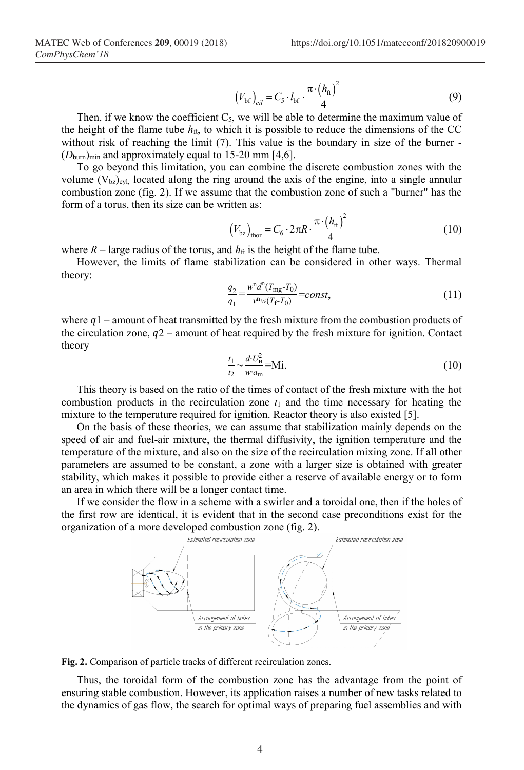$$
\left(V_{\text{bf}}\right)_{\text{cil}} = C_{\text{s}} \cdot l_{\text{bf}} \cdot \frac{\pi \cdot \left(h_{\text{ft}}\right)^2}{4} \tag{9}
$$

https://doi.org/10.1051/matecconf/201820900019<br>  $(V_{\text{bf}})_{\text{cil}} = C_5 \cdot l_{\text{bf}} \cdot \frac{\pi \cdot (h_{\text{ft}})^2}{4}$  (9)<br>
we will be able to determine the maximum value of<br>
h it is possible to reduce the dimensions of the CC<br>
This value is Then, if we know the coefficient  $C_5$ , we will be able to determine the maximum value of the height of the flame tube  $h_{\text{ft}}$ , to which it is possible to reduce the dimensions of the CC without risk of reaching the limit (7). This value is the boundary in size of the burner - $(D_{\text{burn}})_{\text{min}}$  and approximately equal to 15-20 mm [4,6]. https://doi.org/10.1051/matecconf/201820900019<br>  $(V_{\text{bf}})_{\text{ell}} = C_s \cdot l_{\text{bf}} \cdot \frac{\pi \cdot (h_n)^2}{4}$  (9)<br>
5, we will be able to determine the maximum value of<br>
cich it is possible to reduce the dimensions of the CC<br>
This value is

To go beyond this limitation, you can combine the discrete combustion zones with the volume  $(V_{bz})_{cyl}$ , located along the ring around the axis of the engine, into a single annular combustion zone (fig. 2). If we assume that the combustion zone of such a "burner" has the form of a torus, then its size can be written as:

$$
\left(V_{\text{bz}}\right)_{\text{thor}} = C_6 \cdot 2\pi R \cdot \frac{\pi \cdot \left(h_{\text{ft}}\right)^2}{4} \tag{10}
$$

where  $R$  – large radius of the torus, and  $h_{ft}$  is the height of the flame tube.

However, the limits of flame stabilization can be considered in other ways. Thermal theory:

$$
\frac{q_2}{q_1} = \frac{w^n d^n (T_{\text{mg}} - T_0)}{v^n w (T_f - T_0)} = const,
$$
\n(11)

where  $q_1$  – amount of heat transmitted by the fresh mixture from the combustion products of the circulation zone,  $q2$  – amount of heat required by the fresh mixture for ignition. Contact theory

$$
\frac{t_1}{t_2} \sim \frac{d \cdot U_{\text{H}}^2}{w \cdot a_{\text{m}}} = \text{Mi}.\tag{10}
$$

This theory is based on the ratio of the times of contact of the fresh mixture with the hot combustion products in the recirculation zone  $t_1$  and the time necessary for heating the mixture to the temperature required for ignition. Reactor theory is also existed [5].

On the basis of these theories, we can assume that stabilization mainly depends on the speed of air and fuel-air mixture, the thermal diffusivity, the ignition temperature and the temperature of the mixture, and also on the size of the recirculation mixing zone. If all other parameters are assumed to be constant, a zone with a larger size is obtained with greater stability, which makes it possible to provide either a reserve of available energy or to form an area in which there will be a longer contact time.

If we consider the flow in a scheme with a swirler and a toroidal one, then if the holes of the first row are identical, it is evident that in the second case preconditions exist for the organization of a more developed combustion zone (fig. 2).





Thus, the toroidal form of the combustion zone has the advantage from the point of ensuring stable combustion. However, its application raises a number of new tasks related to the dynamics of gas flow, the search for optimal ways of preparing fuel assemblies and with